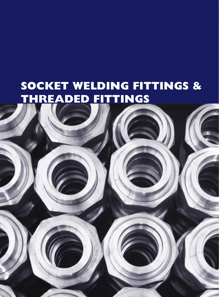# **SOCKET WELDING FITTINGS & THREADED FITTINGS**

16 [www.kaysuns.com](http://www.kaysuns.com)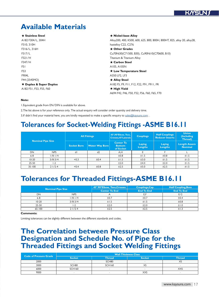### **Available Materials**

| $\star$ Stainless Steel | ★ Nickel-base Alloy                                                      |
|-------------------------|--------------------------------------------------------------------------|
| A182 F304/L, 304H       | Alloy200, 400, K500, 600, 625, 800, 800H, 800HT, 825, alloy 20, alloy28, |
| F310, 310H              | hastelloy C22, C276                                                      |
| F316/L, 316H            | $\star$ Other Grades                                                     |
| F317/L                  | Cu70Ni30(C71500, B30), Cu90Ni10(C70600, B10)                             |
| F321/H                  | Titanium & Titanium Alloy                                                |
| F347/H                  | $\star$ Carbon Steel                                                     |
| F5 I                    | A105, A105N                                                              |
| F53                     | ★ Low Temperature Steel                                                  |
| F904L                   | A350 LF2, LF3                                                            |
| F44 (254SMO)            | <b>★ Alloy Steel</b>                                                     |
| ★ Duplex & Super Duplex | A182 F5, F9, F11, F12, F22, F91, F911, FR                                |
| A182 F51, F53, F55, F60 | $\star$ High Yield                                                       |
|                         | A694 F42, F46, F50, F52, F56, F60, F65, F70                              |
|                         |                                                                          |

#### **Note:**

1.Equivalent grade from EN/DIN is available for above.

2.The list above is for your reference only. The actual enquiry will consider order quantity and delivery time.

3.If didn't find your material here, you are kindly requested to make a specific enquiry to [sales@kaysuns.com](mailto:sales%40kaysuns.com?subject=) .

### **Tolerances for Socket-Welding Fittings -ASME B16.11**

| <b>Nominal Pipe Size</b> |             |                    | <b>All Fittings</b>   | 45°,90°Elbow, Tees,<br>Crosses, 45°Laterals    | <b>Couplings</b>         | <b>Half Couplings</b><br><b>Reducer Inserts</b> | <b>Union</b><br>(Including<br>Thread) |
|--------------------------|-------------|--------------------|-----------------------|------------------------------------------------|--------------------------|-------------------------------------------------|---------------------------------------|
|                          |             | <b>Socket Bore</b> | <b>Water Way Bore</b> | <b>Center To</b><br><b>Bottom</b><br>of Socket | Laying<br><b>Lengths</b> | Laying<br><b>Lengths</b>                        | <b>Length Assem</b><br><b>Nominal</b> |
| DN                       | <b>NPS</b>  | d                  | d2                    | A,H                                            |                          |                                                 |                                       |
| $6 - 8$                  | $1/8 - 1/4$ |                    |                       | ±0.8                                           | ±1.5                     | ±0.8                                            | ±1.5                                  |
| $10 - 20$                | $3/8 - 3/4$ | $+0.3$             | ±0.4                  | ±1.5                                           | ±3.0                     | ±1.5                                            | ±1.5                                  |
| $25 - 50$                | $-2$        |                    |                       | ±2.0                                           | ±4.0                     | ±2.0                                            | ±1.5                                  |
| $35 - 100$               | $21/2-4$    | $+0.4$             | ±0.8                  | ±2.5                                           | ±5.0                     | ±2.5                                            | ±1.5                                  |

### **Tolerances for Threaded Fittings-ASME B16.11**

|            |                          | 45°,90°Elbow, Tees, Crosses | Couplings, Cap    | <b>Half Coupling, Boss</b> |
|------------|--------------------------|-----------------------------|-------------------|----------------------------|
|            | <b>Nominal Pipe Size</b> | <b>Center To End</b>        | <b>End To End</b> | <b>End To End</b>          |
| DN         | <b>NPS</b>               |                             | E,F               | E/2                        |
| $6 - 8$    | $1/8 - 1/4$              | ±0.7                        | ±0.7              | ±0.4                       |
| $10-20$    | $3/8 - 3/4$              | ±1.5                        | ±1.5              | ±0.8                       |
| 25-50      | ' -2                     | ±2.0                        | ±2.0              | ±1.0                       |
| $65 - 100$ | $21/2-4$                 |                             | ±2.5              | ·土L                        |

#### **Comments:**

Limiting tolerances can be slightly different between the different standards and codes.

### **The Correlation between Pressure Class Designation and Schedule No. of Pipe for the Threaded Fittings and Socket Welding Fittings**

| <b>Code of Pressure Grade</b> | <b>Wall Thickness Class</b> |               |                          |               |  |  |  |  |  |  |
|-------------------------------|-----------------------------|---------------|--------------------------|---------------|--|--|--|--|--|--|
|                               | <b>Socket</b>               | <b>Thread</b> | <b>Socket</b>            | <b>Thread</b> |  |  |  |  |  |  |
| 2000                          | $\overline{\phantom{a}}$    | SCH80         | $\sim$                   | XS            |  |  |  |  |  |  |
| 3000                          | SCH80                       | SCH160        | ᄉ                        | ۰             |  |  |  |  |  |  |
| 6000                          | <b>SCH160</b>               | ۰             | $\overline{\phantom{a}}$ | <b>XXS</b>    |  |  |  |  |  |  |
| 9000                          | $\overline{\phantom{0}}$    | <b>100</b>    | <b>XXS</b>               | ۰             |  |  |  |  |  |  |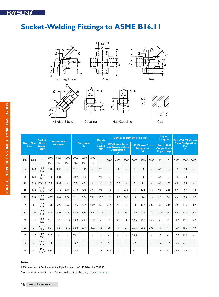# **Socket-Welding Fittings to ASME B16.11**



| <b>Nom. Pipe</b> | <b>Socket</b>  |                              |      |                                              |                |      |                        | <b>Depth</b> | <b>Center to Bottom of Socket</b> |                                                                             |                |                                                   |              |                                                                | Laying<br><b>Lengths</b> |                                             | <b>End Wall Thickness</b> |      |      |      |
|------------------|----------------|------------------------------|------|----------------------------------------------|----------------|------|------------------------|--------------|-----------------------------------|-----------------------------------------------------------------------------|----------------|---------------------------------------------------|--------------|----------------------------------------------------------------|--------------------------|---------------------------------------------|---------------------------|------|------|------|
| <b>Size</b>      |                | <b>Bore</b><br>Diam-<br>eter |      | <b>Socket Wall</b><br><b>Thickness,</b><br>C |                |      | <b>Body Wall,</b><br>G |              | of<br><b>Socket</b><br>Min        | 90°Elbows, Tees,<br>and Crosses Class<br><b>Designation</b><br>$\mathbf{A}$ |                | <b>45°Elbows Class</b><br><b>Designation</b><br>A |              | Full<br><b>Half</b><br>Coup-<br>Coup-<br>lings<br><b>lings</b> |                          | <b>Class Designation</b><br><b>Min</b><br>K |                           |      |      |      |
| DN               | <b>NPS</b>     | dI                           | 3000 | 6000                                         | 9000           | 3000 | 6000                   | 9000         |                                   | 3000                                                                        | 6000           | 9000                                              | 3000         | 6000                                                           | 9000                     | E                                           | F                         | 3000 | 6000 | 9000 |
|                  |                |                              | Min. | Min.                                         | Min.           | Min  | Min                    | Min          |                                   |                                                                             |                |                                                   |              |                                                                |                          |                                             |                           |      |      |      |
| 6                | 1/8            | $10.8 -$<br>11.2             | 3.18 | 3.43                                         | $\sim$         | 2.41 | 3.15                   | ÷.           | 9.5                               | $\mathbf{H}$                                                                | $\mathbf{H}$   | $\sim$                                            | 8            | 8                                                              | ÷.                       | 6.5                                         | 16                        | 4.8  | 6.4  |      |
| 8                | 1/4            | $14.2 -$<br>14.6             | 3.3  | 4.01                                         | $\overline{a}$ | 3.02 | 3.68                   | $\mathbf{r}$ | 9.5                               | $\mathbf{1}$                                                                | 13.5           | $\sim$                                            | 8            | 8                                                              |                          | 6.5                                         | 16                        | 4.8  | 6.4  |      |
| 10               | 3/8            | $17.6 - 18$                  | 3.5  | 4.37                                         | $\overline{a}$ | 3.2  | 4.01                   | $\sim$       | 9.5                               | 13.5                                                                        | 15.5           | ä,                                                | 8            | $\mathbf{H}$                                                   | ÷.                       | 6.5                                         | 17.5                      | 4.8  | 6.4  |      |
| 15               | 1/2            | $21.8 -$<br>22.2             | 4.09 | 5.18                                         | 8.18           | 3.73 | 4.78                   | 7.47         | 9.5                               | 15.5                                                                        | 9              | 25.5                                              | $\mathbf{H}$ | 12.5                                                           | 15.5                     | 9.5                                         | 22.5                      | 6.4  | 7.9  | 11.2 |
| 20               | 3/4            | $27.2 -$<br>27.6             | 4.27 | 6.04                                         | 8.56           | 3.91 | 5.56                   | 7.82         | 12.5                              | 9                                                                           | 22.5           | 28.5                                              | 13           | 4                                                              | 9                        | 9.5                                         | 24                        | 6.4  | 7.9  | 12.7 |
| 25               |                | $33.9 -$<br>34.3             | 4.98 | 6.93                                         | 9.96           | 4.55 | 6.35                   | 9.09         | 12.5                              | 22.5                                                                        | 27             | 32                                                | 4            | 17.5                                                           | 20.5                     | 12.5                                        | 28.5                      | 9.6  | 11.2 | 14.2 |
| 32               | 11/4           | $42.7 -$<br>43.1             | 5.28 | 6.93                                         | 10.62          | 4.85 | 6.35                   | 9.7          | 12.5                              | 27                                                                          | 32             | 35                                                | 17.5         | 20.5                                                           | 22.5                     | 12.5                                        | 30                        | 9.6  | 11.2 | 14.2 |
| 40               | 11/2           | $48.8 -$<br>49.2             | 5.54 | 7.8                                          | 11.12          | 5.08 | 7.14                   | 10.15        | 12.5                              | 32                                                                          | 38             | 38                                                | 20.5         | 25.5                                                           | 25.5                     | 12.5                                        | 32                        | 11.2 | 12.7 | 15.7 |
| 50               | $\overline{2}$ | $61.2 -$<br>61.7             | 6.04 | 9.5                                          | 12.12          | 5.54 | 8.74                   | 11.07        | 16                                | 38                                                                          | 4 <sub>1</sub> | 54                                                | 25.5         | 28.5                                                           | 28.5                     | 9                                           | 4 <sub>1</sub>            | 12.7 | 15.7 | 19.0 |
| 65               | 21/2           | $73.9 -$<br>74.4             | 7.67 |                                              | $\sim$         | 7.01 | $\sim$                 | $\sim$       | 16                                | 41                                                                          | ÷.             | $\sim$                                            | 28.5         | $\overline{a}$                                                 | $\sim$                   | 9                                           | 43                        | 15.7 | 19.0 |      |
| 80               | 3              | $89.8 -$<br>90.3             | 8.3  |                                              | ÷.             | 7.62 | ä,                     | ÷.           | 16                                | 57                                                                          | ÷,             | ÷.                                                | 32           | ÷.                                                             | ä,                       | 9                                           | 44.5                      | 19.0 | 22.4 |      |
| 100              | $\overline{4}$ | $115.2 -$<br>115.7           | 9.35 |                                              |                | 8.56 | ä,                     | ÷            | 9                                 | 66.5                                                                        |                | ÷.                                                | 41           |                                                                |                          | 9                                           | 48                        | 22.4 | 28.4 |      |

### **Note:**

1.Dimensions of Socket-welding Pipe Fittings to ASME B16.11 /BS3799.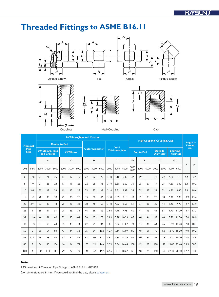

Dpvqmjoh Ibmg.Dpvqmjoh Dbq

|                 |                     | 90°Elbows, Tees and Crosses |                                 |                      |      |                  |      |      |                       |      |      |                        | <b>Half Coupling, Coupling, Cap</b> |                   |      |                                   |      |                                     |       |                             |      |      |
|-----------------|---------------------|-----------------------------|---------------------------------|----------------------|------|------------------|------|------|-----------------------|------|------|------------------------|-------------------------------------|-------------------|------|-----------------------------------|------|-------------------------------------|-------|-----------------------------|------|------|
|                 | <b>Nominal</b>      |                             |                                 | <b>Center to End</b> |      |                  |      |      |                       |      |      | <b>Wall</b>            |                                     |                   |      |                                   |      |                                     |       | <b>Length of</b><br>Thread, |      |      |
|                 | Pipe<br><b>Size</b> |                             | 90° Elbows. Tees<br>and Crosses |                      |      | <b>45°Elbows</b> |      |      | <b>Outer Diameter</b> |      |      | <b>Thickness, Min.</b> |                                     | <b>End to End</b> |      | <b>Outside</b><br><b>Diameter</b> |      | <b>End wall</b><br><b>Thickness</b> |       | Min.                        |      |      |
|                 |                     |                             | A                               |                      |      | C                |      |      | H                     |      |      | GI                     |                                     | W                 |      | P                                 |      | D                                   |       | G <sub>2</sub>              |      |      |
| DN              | <b>NPS</b>          | 2000                        | 3000                            | 6000                 | 2000 | 3000             | 6000 | 2000 | 3000                  | 6000 | 2000 | 3000                   | 6000                                | 3000<br>6000      | 3000 | 6000                              | 3000 | 6000                                | 3000  | 6000                        | B    | L2   |
| 6               | 1/8                 | 21                          | 21                              | 25                   | 17   | 17               | 9    | 22   | 22                    | 25   | 3.18 | 3.18                   | 6.35                                | 32                | 9    | $\sim$                            | 16   | 22                                  | 4.80  | $\overline{\phantom{a}}$    | 6.4  | 6.7  |
| 8               | 1/4                 | 21                          | 25                              | 28                   | 17   | 9                | 22   | 22   | 25                    | 33   | 3.18 | 3.30                   | 6.60                                | 35                | 25   | 27                                | 9    | 25                                  | 4.80  | 6.40                        | 8.1  | 10.2 |
| $\overline{10}$ | 3/8                 | 25                          | 28                              | 33                   | 9    | 22               | 25   | 25   | 33                    | 38   | 3.18 | 3.51                   | 6.98                                | 38                | 25   | 27                                | 22   | 32                                  | 4.80  | 6.40                        | 9.1  | 10.4 |
| 15              | 1/2                 | 28                          | 33                              | 38                   | 22   | 25               | 28   | 33   | 38                    | 46   | 3.18 | 4.09                   | 8.15                                | 48                | 32   | 33                                | 28   | 38                                  | 6.40  | 7.90                        | 10.9 | 13.6 |
| 20              | 3/4                 | 33                          | 38                              | 44                   | 25   | 28               | 33   | 38   | 46                    | 56   | 3.18 | 4.32                   | 8.53                                | 51                | 37   | 38                                | 35   | 44                                  | 6.40  | 7.90                        | 12.7 | 13.9 |
| 25              |                     | 38                          | 44                              | 51                   | 28   | 33               | 35   | 46   | 56                    | 62   | 3.68 | 4.98                   | 9.93                                | 60                | 41   | 43                                | 44   | 57                                  | 9.70  | 11.20                       | 14.7 | 17.3 |
| 32              | 11/4                | 44                          | 51                              | 60                   | 33   | 35               | 43   | 56   | 62                    | 75   | 3.89 | 5.28                   | 10.59                               | 67                | 44   | 46                                | 57   | 64                                  | 9.70  | 11.20                       | 17.0 | 18.0 |
| 40              | 11/2                | 51                          | 60                              | 64                   | 35   | 43               | 44   | 62   | 75                    | 84   | 4.01 | 5.56                   | 11.07                               | 79                | 44   | 48                                | 64   | 76                                  | 11.20 | 12.70                       | 17.8 | 18.4 |
| 50              | $\overline{2}$      | 60                          | 64                              | 83                   | 43   | 44               | 52   | 75   | 84                    | 102  | 4.27 | 7.14                   | 12.09                               | 86                | 48   | 51                                | 76   | 92                                  | 12.70 | 15.70                       | 19.0 | 19.2 |
| 65              | 21/2                | 76                          | 83                              | 95                   | 52   | 52               | 64   | 92   | 102                   | 2    | 5.61 | 7.65                   | 15.29                               | 92                | 60   | 64                                | 92   | 108                                 | 15.70 | 19.00                       | 23.6 | 28.9 |
| 80              | 3                   | 86                          | 95                              | 106                  | 64   | 64               | 79   | 109  | 2                     | 146  | 5.99 | 8.84                   | 16.64                               | 108               | 65   | 68                                | 108  | 127                                 | 19.00 | 22.40                       | 25.9 | 30.5 |
| 100             | 4                   | 106                         | 114                             | $ $  4               | 79   | 79               | 79   | 146  | 152                   | 152  | 6.55 | 11.18                  | 18.67                               | 2                 | 68   | 75                                | 40   | 159                                 |       | 22.40 28.40                 | 27.7 | 33.0 |

#### **Note:**

1.Dimensions of Threaded Pipe Fittings to ASME B16.11 /BS3799.

2.All dimensions are in mm. If you could not find the size, please [contact us](mailto:sales%40kaysuns.com?subject=).

56.efh!Fmcpx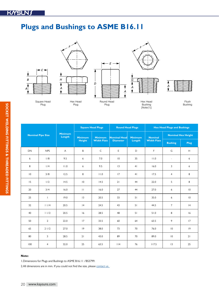## **Plugs and Bushings to ASME B16.11**



|                          |                |                          | <b>Square Head Plugs</b> |                    | <b>Round Head Plugs</b> |                | <b>Hex Head Plugs and Bushings</b> |                           |                 |  |
|--------------------------|----------------|--------------------------|--------------------------|--------------------|-------------------------|----------------|------------------------------------|---------------------------|-----------------|--|
| <b>Nominal Pipe Size</b> |                | <b>Minimum</b><br>Length | <b>Minimum</b>           | <b>Minimum</b>     | <b>Nominal Head</b>     | <b>Minimum</b> | <b>Nominal</b>                     | <b>Nominal Hex Height</b> |                 |  |
|                          |                |                          | <b>Height</b>            | <b>Width Flats</b> | <b>Diameter</b>         | Length         | <b>Width Flats</b>                 | <b>Bushing</b>            | Plug            |  |
| <b>DN</b>                | <b>NPS</b>     | A                        | B                        | $\mathsf C$        | E                       | D              | F.                                 | G                         | H               |  |
| 6                        | 1/8            | 9.5                      | 6                        | 7.0                | $\overline{0}$          | 35             | 11.0                               | $\overline{\phantom{a}}$  | 6               |  |
| 8                        | 1/4            | 11.0                     | 6                        | 9.5                | 3                       | 41             | 16.0                               | 3                         | 6               |  |
| $\overline{10}$          | 3/8            | 12.5                     | 8                        | 11.0               | 17                      | 4 <sub>1</sub> | 17.5                               | $\overline{4}$            | 8               |  |
| 15                       | 1/2            | 14.5                     | $\overline{10}$          | 14.5               | 21                      | 44             | 22.0                               | 5                         | 8               |  |
| 20                       | 3/4            | 16.0                     | $\mathbf{H}$             | 16.0               | 27                      | 44             | 27.0                               | 6                         | $\overline{10}$ |  |
| 25                       | $\mathbf{I}$   | 19.0                     | 3                        | 20.5               | 33                      | 51             | 35.0                               | 6                         | $\overline{10}$ |  |
| 32                       | 11/4           | 20.5                     | 4                        | 24.5               | 43                      | 51             | 44.5                               | $\overline{7}$            | 4               |  |
| 40                       | 11/2           | 20.5                     | 16                       | 28.5               | 48                      | 51             | 51.0                               | 8                         | 16              |  |
| 50                       | $\overline{2}$ | 22.0                     | 17                       | 33.5               | 60                      | 64             | 63.5                               | 9                         | 17              |  |
| 65                       | 21/2           | 27.0                     | 9                        | 38.0               | 73                      | 70             | 76.0                               | 10                        | 9               |  |
| 80                       | 3              | 28.5                     | 21                       | 43.0               | 89                      | 70             | 89.0                               | $\overline{0}$            | 21              |  |
| 100                      | $\overline{4}$ | 32.0                     | 25                       | 63.5               | 114                     | 76             | 117.5                              | 3                         | 25              |  |

### **Note:**

1.Dimensions for Plugs and Bushings to ASME B16.11 /BS3799.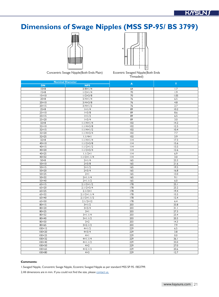# **Dimensions of Swage Nipples (MSS SP-95/ BS 3799)**



Concentric Swage Nipple(Both Ends Plain) Eccentric Swaged Nipple(Both Ends



Threaded)

|                                 | <b>Nominal Diameter</b>        |            |              |
|---------------------------------|--------------------------------|------------|--------------|
| <b>DN</b>                       | <b>NPS</b>                     | A          | $\mathbf{T}$ |
| $10\times8$                     | $3/8 \times 1/4$               | 64         | 1.7          |
| $15\times8$                     | $1/2 \times 1/4$               | 70         | 1.9          |
| $15 \times 10$                  | $1/2 \times 3/8$               | 70         | 1.05         |
| $20\times8$                     | $3/4 \times 1/4$               | 76         | 6.5          |
| $20 \times 10$                  | $3/4 \times 3/8$               | 76         | 4.8          |
| $20 \times 15$                  | $3/4 \times 1/2$               | 76         | 2.7          |
| $25 \times 8$                   | x /4                           | 89         | 10.2         |
| $25 \times 10$                  | $1 \times 3/8$                 | 89         | 8.6          |
| $25 \times 15$                  | x /2                           | 89         | 6.5          |
| $25 \times 20$                  | $1 \times 3/4$                 | 89         | 3.0          |
| $32\times8$                     | $1.1/4 \times 1/4$             | 102        | 14.2         |
| $32 \times 10$                  | $1.1/4 \times 3/8$             | 102        | 12.5         |
| $32 \times 15$                  | $1.1/4\times1/2$               | 102        | 10.4         |
| 32×20                           | $1.1/4 \times 3/4$             | 102        | 7.7          |
| $32 \times 25$                  | $ . /4\times $                 | 102        | 3.9          |
| $32\times8$                     | $1.1/4 \times 1/4$             | 114        | 17.3         |
| $40 \times 10$                  | $1.1/2\times3/8$               | $ $   4    | 15.6         |
| $40 \times 15$                  | $1.1/2\times1/2$               | 114        | 13.5         |
| $40 \times 20$                  | $1.1/2\times3/4$               | $ $   4    | 12.6         |
| $40 \times 25$                  | $1.1/2\times$                  | 114        | 6.9          |
| $40 \times 32$                  | $1.1/2 \times 1.1/4$           | $ $  4     | 3.0          |
| $50\times8$                     | $2 \times 1/4$                 | 165        | 23.3         |
| $50 \times 10$                  | $2 \times 3/8$                 | 165        | 21.6         |
| $50 \times 15$                  | $2 \times 1/2$                 | 165        | 19.5         |
| 50×20                           | $2 \times 3/4$                 | 165        | 16.8         |
| $50 \times 25$                  | $2 \times 1$                   | 165        | 13.0         |
| $50 \times 32$                  | $2 \times 1.1/4$               | 165        | 9.1          |
| $50\times 40$                   | $2 \times 1.1/2$               | 165        | 6.0          |
| $65 \times 15$                  | $2.1/2 \times 1/2$             | 178        | 25.1         |
| $65 \times 20$                  | $2.1/2 \times 3/4$             | 178        | 23.2         |
| $65 \times 25$                  | $2.1/2 \times 1$               | 178        | 19.4         |
| $65 \times 32$                  | $2.1/2 \times 1.1/4$           | 178        | 15.5         |
| 65×40                           | $2.1/2 \times 1.1/2$           | 178        | 12.4         |
| $65 \times 50$                  | $2.1/2 \times 12$              | 178        | 6.4          |
| $80 \times 15$                  | $3 \times 1/2$                 | 203        | 33.8         |
| 80×20                           | $3 \times 3/4$                 | 203        | 31.1         |
| 80×25                           | $3 \times 1$                   | 203        | 27.3         |
| 80×32                           | $\overline{3}$ × I.I/4         | 203        | 23.4         |
| 80×40                           | $3 \times 1.1/2$               | 203        | 20.3         |
| 80×50                           | $3\times2$                     | 203        | 4.3          |
| 80×65                           | $3 \times 2.1/2$               | 203        | 7.9          |
| $100 \times 15$                 | $4 \times 1/2$                 | 229        | 6.5          |
| $100 \times 20$                 | $4 \times 3/4$                 | 229        | 3.8          |
| $100 \times 25$                 | $4 \times 1$                   | 229        | 0.0          |
| $100 \times 32$                 | $4 \times 1.1/4$               | 229        | 36.1         |
| $100\times40$                   | $4 \times 1.1/2$<br>$4\times2$ | 229<br>229 | 33.0<br>27.0 |
| $100\times50$<br>$100\times 65$ | $4 \times 2.1/2$               | 229        | 20.6         |
|                                 |                                |            |              |
| $100\times80$                   | $4\times3$                     | 229        | 12.7         |

### **Comments:**

1.Swaged Nipple, Concentric Swage Nipple, Eccentric Swaged Nipple as per standard MSS SP-95 /BS3799.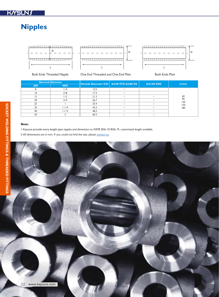# **Nipples**





Both Ends Threaded Nipple **One End Threaded and One End Plain** Both Ends Plain



|           | <b>Nominal Diameter</b> | Outside Diameter O.D. Sch40 STD Sch80 XS |         | Sch160 XXS | L/mm      |
|-----------|-------------------------|------------------------------------------|---------|------------|-----------|
| <b>DN</b> | <b>NPS</b>              |                                          |         |            |           |
|           | 1/4                     | 13.5                                     | $\cap$  |            |           |
| 10        | 3/8                     | 17.2                                     | $\circ$ |            |           |
|           | 1/2                     | 21.3                                     | $\cap$  |            | 60        |
| 20        | 3/4                     | 26.7                                     | $\circ$ |            | 90<br>120 |
| 25        |                         | 33.4                                     | $\circ$ |            | 150       |
| 32        | 1.1/4                   | 42.2                                     | $\cap$  |            | 180       |
| 40        | 1.1/2                   | 48.3                                     | $\circ$ | $\circ$    |           |
| 50        |                         | 60.3                                     |         |            |           |

### **Note:**

1.Kaysuns provide every length pipe nipples and dimension to ASME B36.10/B36.19, customized length available.

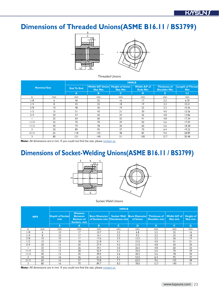# Dimensions of Threaded Unions(ASME B16.11 / BS3799)





Threaded Unions

|                |                     |                   |                                                          |                | 3000LB                          |                                            |                                       |
|----------------|---------------------|-------------------|----------------------------------------------------------|----------------|---------------------------------|--------------------------------------------|---------------------------------------|
|                | <b>Nominal Size</b> | <b>End To End</b> | <b>Width A/F Union Height of Union</b><br><b>Nut Min</b> | <b>Nut Min</b> | Width A/F of<br><b>Ends Min</b> | <b>Thickness of</b><br><b>Shoulder Min</b> | <b>Length of Thread</b><br><b>Min</b> |
|                |                     | $\overline{A}$    | B                                                        | $\mathbf C$    | D                               | Е                                          | L <sub>2</sub>                        |
| in             | <sub>mm</sub>       | mm                | <sub>mm</sub>                                            | mm             | mm                              | mm                                         | mm                                    |
| 1/8            | 6                   | 40                | 32                                                       | 16             | 17                              | 3.2                                        | 6.70                                  |
| 1/4            | 8                   | 43                | 32                                                       | 8              | 9                               | 3.2                                        | 10.21                                 |
| 3/8            | $\overline{0}$      | 48                | 36                                                       | 9              | 22                              | 3.2                                        | 10.36                                 |
| 1/2            | 15                  | 51                | 43                                                       | 21             | 30                              | 4.0                                        | 13.56                                 |
| 3/4            | 20                  | 57                | 50                                                       | 24             | 36                              | 4.8                                        | 13.86                                 |
|                | 25                  | 64                | 60                                                       | 25             | 41                              | 4.8                                        | 17.34                                 |
| 11/4           | 32                  | 70                | 70                                                       | 29             | 50                              | 5.6                                        | 17.93                                 |
| 11/2           | 40                  | 79                | 78                                                       | 30             | 60                              | 5.6                                        | 18.38                                 |
| $\overline{2}$ | 50                  | 89                | 95                                                       | 37             | 70                              | 6.4                                        | 19.22                                 |
| 21/2           | 65                  | 118               | 125                                                      | 48             | 85                              | 9.6                                        | 28.89                                 |
| 3              | 80                  | 2                 | $ 40\rangle$                                             | 51             | 100                             | 12.7                                       | 30.48                                 |

Note: All dimensions are in mm. If you could not find the size, please [contact us.](mailto:sales%40kaysuns.com?subject=)

# **Dimensions of Socket-Welding Unions(ASME B16.11 / BS3799)** A A





Socket Weld Unions

|            |    |                        |                                                                      |                                                                                                                     | 3000LB      |          |              |                |                             |
|------------|----|------------------------|----------------------------------------------------------------------|---------------------------------------------------------------------------------------------------------------------|-------------|----------|--------------|----------------|-----------------------------|
| <b>NPS</b> |    | Depth of Socket<br>min | <b>Distance</b><br><b>Between</b><br><b>Bottom of</b><br>Sockets min | <b>Bore Diameter   Socket Wall   Bore Diameter   Thickness of   Width A/F of  </b><br>of Sockets min Thinckness min |             | of Union | Shoulder min | <b>Nut min</b> | <b>Height of</b><br>Nut min |
|            |    | S.                     | A                                                                    | B.                                                                                                                  | $\mathbf C$ | D        | Е            | F.             | G                           |
| in         | mm | mm                     | mm                                                                   | mm                                                                                                                  | mm          | mm       | mm           | mm             | mm                          |
| 1/8        | 6  | $\overline{0}$         | 17                                                                   | 10.7                                                                                                                | 3.2         | 6.8      | 3.2          | 32             | 16                          |
| 1/4        | 8  | $\overline{0}$         | 17                                                                   | 4.1                                                                                                                 | 3.3         | 9.2      | 3.2          | 32             | 18                          |
| 3/8        | 10 | $\overline{0}$         | 17                                                                   | 17.6                                                                                                                | 3.5         | 12.5     | 3.2          | 36             | 9                           |
| 1/2        | 15 | 10                     | 8                                                                    | 21.8                                                                                                                | 4.1         | 15.5     | 4.0          | 41             | 21                          |
| 3/4        | 20 | 13                     | 20                                                                   | 27.4                                                                                                                | 4.3         | 21.0     | 4.8          | 50             | 24                          |
|            | 25 | 3                      | 26                                                                   | 34.1                                                                                                                | 5.0         | 26.5     | 4.8          | 60             | 25                          |
| 11/4       | 32 | 13                     | 28                                                                   | 42.9                                                                                                                | 5.3         | 35.0     | 5.6          | 70             | 29                          |
| 11/2       | 40 | 3                      | 30                                                                   | 49.0                                                                                                                | 5.6         | 40.5     | 5.6          | 78             | 30                          |
| C          | 50 | 16                     | 36                                                                   | 61.0                                                                                                                | 6.1         | 52.0     | 6.4          | 95             | 37                          |
| 21/2       | 65 | 16                     | 57                                                                   | 73.8                                                                                                                | 7.7         | 62.0     | 9.6          | 125            | 48                          |
| 3          | 80 | 16                     | 70                                                                   | 89.7                                                                                                                | 8.3         | 78.0     | 12.7         | 40             | 51                          |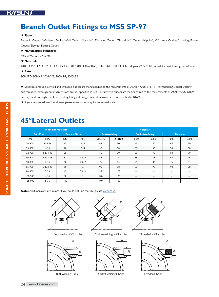### KNSUN

### **Branch Outlet Fittings to MSS SP-97**

#### ★ **Types**

Buttweld Outlets (Weldolet), Socket Weld Outlets (Sockolet), Threaded Outlets (Threadolet), Outlets (Nipolet), 45° Lateral Outlets (Latrolet), Elbow Outlets(Elbolet), Flanged Outlets

#### ★ **Manufacture Standards**

MSS SP-97, GB19236 etc.

#### ★ **Materials**

A105, A350 LF2, A182 F11, F22, F5, F9, F304/304L, F316/316L, F347, 347H, F317/L, F321, duplex 2205, 2507, monel, inconel, incoloy, hastelloy etc.

### ★ **Rate**

SCHSTD, SCHXS, SCHXXS, 3000LBS, 6000LBS

★ Specifications: Socket weld and threaded outlets are manufactured to the requirements of ASME/ ANSI B16.11 - Forged fitting, socket welding and threaded, although outlet dimensions are not specified in B16.11. Buttweld outlets are manufactured to the requirements of ASME/ANSI B16.9 -Factory-made wrought steel buttwelding fittings, although outlet dimensions are not specified in B16.9.

★ If your requested isn't found here, please make an enquiry for us immediately.

### **45°Lateral Outlets**

|           | <b>Nominal Pipe Size</b> |           |                      | <b>Height A</b>     |               |                          |      |                          |      |  |  |
|-----------|--------------------------|-----------|----------------------|---------------------|---------------|--------------------------|------|--------------------------|------|--|--|
|           | <b>Run Pipe</b>          |           | <b>Branch Outlet</b> | <b>Butt-welding</b> |               | <b>Socket-welding</b>    |      | <b>Threaded</b>          |      |  |  |
| <b>DN</b> | <b>NPS</b>               | <b>DN</b> | <b>NPS</b>           | STD.XS              | <b>SCH160</b> | 3000                     | 6000 | 3000                     | 6000 |  |  |
| 20-900    | $3/4 - 36$               | 15        | 1/2                  | 45                  | 50            | 45                       | 50   | 45                       | 50   |  |  |
| 25-900    | $1 - 36$                 | 20        | 3/4                  | 50                  | 58            | 50                       | 58   | 50                       | 58   |  |  |
| 32-900    | $11/4-36$                | 25        |                      | 60                  | 70            | 60                       | 70   | 60                       | 70   |  |  |
| 40-900    | $11/2 - 36$              | 32        | 11/4                 | 68                  | 76            | 68                       | 76   | 68                       | 76   |  |  |
| 50-900    | $2 - 36$                 | 40        | 11/2                 | 75                  | 83            | 75                       | 83   | 75                       | 83   |  |  |
| 65-900    | $21/2-36$                | 50        | $\overline{2}$       | 90                  | 98            | 90                       | 98   | 90                       | 98   |  |  |
| 80-900    | $3 - 36$                 | 65        | 21/2                 | 95                  | 105           | $\qquad \qquad =$        |      | $\overline{\phantom{0}}$ |      |  |  |
| 100-900   | $4 - 36$                 | 80        | 3                    | 120                 | 130           | $\overline{\phantom{m}}$ |      |                          |      |  |  |
| 125-900   | $5 - 36$                 | 100       | 4                    | 140                 | 150           |                          |      |                          |      |  |  |

**Note:** All dimensions are in mm. If you could not find the size, please [contact us.](mailto:sales%40kaysuns.com?subject=)



Butt-welding 45°Latrolet



Butt-welding Elbolet



Socket-welding 45°Latrolet



Socket-welding Elbolet



Threaded 45°Latrolet



Threaded Elbolet